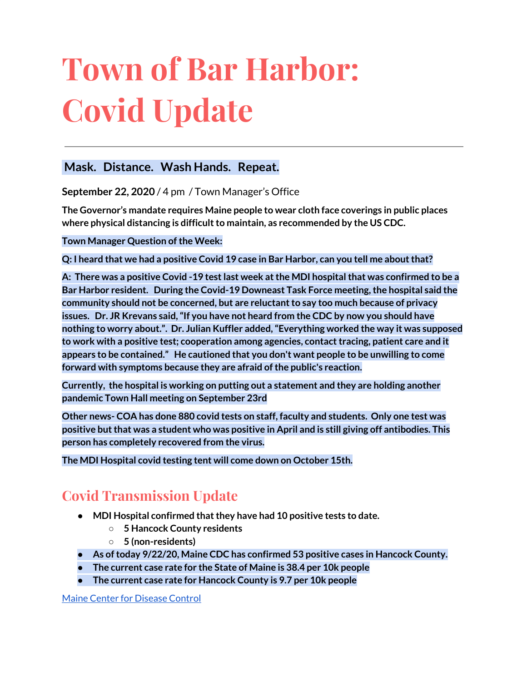# **Town of Bar Harbor: Covid Update**

### **Mask. Distance. Wash Hands. Repeat.**

**September 22, 2020** / 4 pm / Town Manager's Office

**The Governor's mandate requires Maine people to wear cloth face coverings in public places where physical distancing is difficultto maintain, as recommended by the US CDC.**

**Town Manager Question of the Week:** 

**Q: I heard that we had a positive Covid 19 case in Bar Harbor, can you tell me aboutthat?**

**A: There was a positive Covid -19 testlast week atthe MDI hospitalthat was confirmed to be a Bar Harbor resident. During the Covid-19 Downeast Task Force meeting,the hospital said the community should not be concerned, but are reluctantto say too much because of privacy issues. Dr. JR Krevans said,"If you have not heard from the CDC by now you should have nothing to worry about.". Dr. Julian Kuffler added,"Everything worked the way it was supposed to work with a positive test; cooperation among agencies, contacttracing, patient care and it appears to be contained." He cautioned that you don't want people to be unwilling to come forward with symptoms because they are afraid ofthe public's reaction.**

**Currently, the hospital is working on putting out a statement and they are holding another pandemic Town Hall meeting on September 23rd**

**Other news- COA has done 880 covid tests on staff, faculty and students. Only one test was positive butthat was a student who was positive in April and is still giving off antibodies. This person has completely recovered from the virus.**

**The MDI Hospital covid testing tent will come down on October 15th.**

## **Covid Transmission Update**

- **● MDI Hospital confirmed thatthey have had 10 positive tests to date.**
	- **○ 5 Hancock County residents**
	- **○ 5 (non-residents)**
- **● As oftoday 9/22/20, Maine CDC has confirmed 53 positive cases in Hancock County.**
- **● The current case rate for the State of Maine is 38.4 per 10k people**
- **● The current case rate for Hancock County is 9.7 per 10k people**

Maine Center for [Disease](https://www.maine.gov/dhhs/mecdc/infectious-disease/epi/airborne/coronavirus.shtml) Control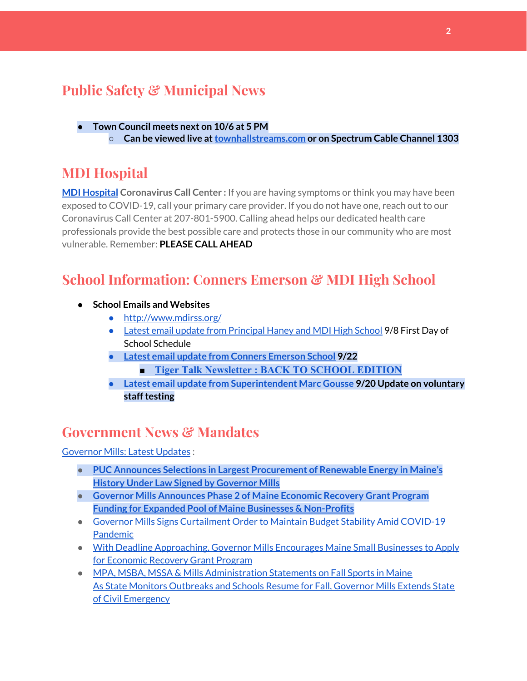## **Public Safety & Municipal News**

**● Town Council meets next on 10/6 at 5 PM ○ Can be viewed live at[townhallstreams.com](https://townhallstreams.com/) or on Spectrum Cable Channel 1303**

## **MDI Hospital**

**MDI [Hospital](https://www.mdihospital.org/) Coronavirus Call Center :** If you are having symptoms or think you may have been exposed to COVID-19, call your primary care provider. If you do not have one, reach out to our Coronavirus Call Center at 207-801-5900. Calling ahead helps our dedicated health care professionals provide the best possible care and protects those in our community who are most vulnerable. Remember: **PLEASE CALL AHEAD**

## **School Information: Conners Emerson & MDI High School**

- **● School Emails and Websites**
	- <http://www.mdirss.org/>
	- Latest email update from [Principal](https://docs.google.com/document/d/1OKDsYNtOgV0FI9xAcXwQvenOKLV0S2vBg1o5jtu5CrE/edit?usp=sharing) Haney and MDI High School 9/8 First Day of School Schedule
	- **● Latest email update from Conners [Emerson](https://docs.google.com/document/d/1v3pgkG6Q-9S3gisuUIj4etPVDwgBKl4P00JBkvZr-kk/edit?usp=sharing) School 9/22**
		- **■ [Tiger Talk Newsletter : BACK TO SCHOOL EDITION](http://track.spe.schoolmessenger.com/f/a/dVz9rulq8we8GZaVoB8UGA~~/AAAAAQA~/RgRhS3J8P0RFaHR0cHM6Ly9zaXRlcy5nb29nbGUuY29tL21kaXJzcy5vcmcvY29ubmVycy1lbWVyc29uLXNjaG9vbC9uZXdzbGV0dGVyVwdzY2hvb2xtQgoAR_w-al-CFCjyUhhiYXJoYXJib3JqZXdlbEBnbWFpbC5jb21YBAAAAAE~)**
	- **● Latest email update from [Superintendent](https://docs.google.com/document/d/1fzeCbc8gpTSKmUaDoQH1Avx5PVl-h0reFphXrT1eUNA/edit?usp=sharing) Marc Gousse 9/20 Update on voluntary stafftesting**

## **Government News & Mandates**

[Governor](https://www.maine.gov/governor/mills/) Mills: Latest Updates :

- **● PUC Announces Selections in Largest [Procurement](https://www.maine.gov/governor/mills/news/puc-announces-selections-largest-procurement-renewable-energy-maines-history-under-law-signed) of Renewable Energy in Maine's History Under Law Signed by [Governor](https://www.maine.gov/governor/mills/news/puc-announces-selections-largest-procurement-renewable-energy-maines-history-under-law-signed) Mills**
- **● Governor Mills [Announces](https://www.maine.gov/governor/mills/news/governor-mills-announces-phase-2-maine-economic-recovery-grant-program-funding-expanded-pool) Phase 2 of Maine Economic Recovery Grant Program Funding for Expanded Pool of Maine Businesses & [Non-Profits](https://www.maine.gov/governor/mills/news/governor-mills-announces-phase-2-maine-economic-recovery-grant-program-funding-expanded-pool)**
- Governor Mills Signs [Curtailment](https://www.maine.gov/governor/mills/news/governor-mills-signs-curtailment-order-maintain-budget-stability-amid-covid-19-pandemic-2020) Order to Maintain Budget Stability Amid COVID-19 [Pandemic](https://www.maine.gov/governor/mills/news/governor-mills-signs-curtailment-order-maintain-budget-stability-amid-covid-19-pandemic-2020)
- With Deadline [Approaching,](https://www.maine.gov/governor/mills/news/deadline-approaching-governor-mills-encourages-maine-small-businesses-apply-economic-recovery) Governor Mills Encourages Maine Small Businesses to Apply for [Economic](https://www.maine.gov/governor/mills/news/deadline-approaching-governor-mills-encourages-maine-small-businesses-apply-economic-recovery) Recovery Grant Program
- MPA, MSBA, MSSA & Mills [Administration](https://www.maine.gov/governor/mills/news/mpa-msba-mssa-mills-administration-statements-fall-sports-maine-2020-09-02) Statements on Fall Sports in Maine As State Monitors [Outbreaks](https://www.maine.gov/governor/mills/news/state-monitors-outbreaks-and-schools-resume-fall-governor-mills-extends-state-civil-emergency) and Schools Resume for Fall, Governor Mills Extends State of Civil [Emergency](https://www.maine.gov/governor/mills/news/state-monitors-outbreaks-and-schools-resume-fall-governor-mills-extends-state-civil-emergency)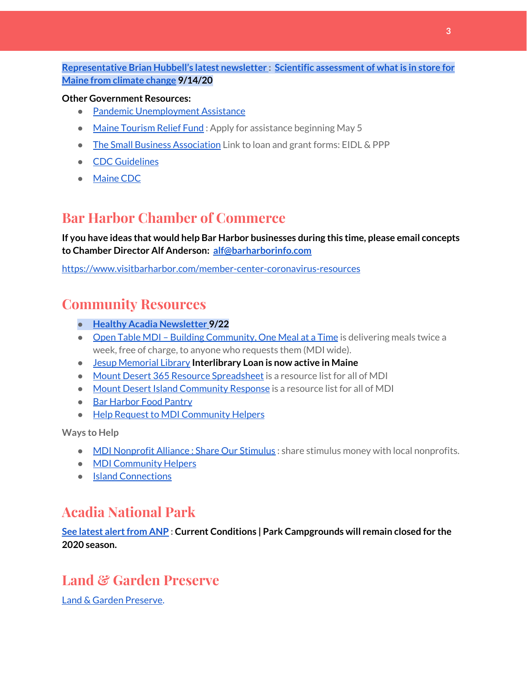**[Representative](http://www.rephubbell.com/) Brian Hubbell's latest newsletter : Scientific [assessment](http://www.rephubbell.com/2020/09/14/scientific-assessment-of-what-is-in-store-for-maine-from-climate-change/) of whatis in store for Maine from [climate](http://www.rephubbell.com/2020/09/14/scientific-assessment-of-what-is-in-store-for-maine-from-climate-change/) change 9/14/20**

#### **Other Government Resources:**

- Pandemic [Unemployment](https://www.maine.gov/unemployment/pua/) Assistance
- Maine [Tourism](https://www.mainetourism.com/maine-tourism-relief-fund/) Relief Fund : Apply for assistance beginning May 5
- The Small Business [Association](https://www.sba.gov/) Link to loan and grant forms: EIDL & PPP
- CDC [Guidelines](https://www.cdc.gov/coronavirus/2019-nCoV/index.html)
- [Maine](https://www.maine.gov/dhhs/mecdc/infectious-disease/epi/airborne/coronavirus.shtml#news) CDC

## **Bar Harbor Chamber of Commerce**

**If you have ideas that would help Bar Harbor businesses during this time, please email concepts to Chamber Director Alf Anderson: [alf@barharborinfo.com](mailto:alf@barharborinfo.com)**

<https://www.visitbarharbor.com/member-center-coronavirus-resources>

## **Community Resources**

- **● Healthy Acadia [Newsletter](https://mailchi.mp/healthyacadia.org/september_22_2020?e=e6ccd2569f) [9](https://mailchi.mp/healthyacadia.org/september_22_2020?e=e6ccd2569f)/22**
- Open Table MDI Building [Community,](https://www.opentablemdi.org/) One Meal at a Time is delivering meals twice a week, free of charge, to anyone who requests them (MDI wide).
- Jesup [Memorial](https://jesuplibrary.org/) Library **Interlibrary Loan is now active in Maine**
- Mount Desert 365 Resource [Spreadsheet](https://docs.google.com/spreadsheets/d/1okAx6HSsgXZY9CGH07Dzi6rqe7a6m4dLCPKot2Li7Ek/edit?usp=sharing) is a resource list for all of MDI
- Mount Desert Island [Community](https://www.mdicr.org/) Response is a resource list for all of MDI
- Bar [Harbor](https://www.barharborfoodpantry.org/) Food Pantry
- Help Request to MDI [Community](https://docs.google.com/forms/d/e/1FAIpQLSeZfu0tCcthHc9oL7tPomVRdniYiE7nbT_kkK9iCSRgqDhOvQ/viewform) Helpers

**Ways to Help**

- MDI [Nonprofit](https://sites.google.com/mdina.org/public/sos-mdi?authuser=0) Alliance : Share Our Stimulus : share stimulus money with local nonprofits.
- MDI [Community](https://docs.google.com/forms/d/e/1FAIpQLSe_CJUFdVvwJkmymWRqUeK8bx3m7n4uSOuUPYHqXSAyH2DBoQ/viewform?fbclid=IwAR25hjnWGhnMP0lOWMcBPRBumhtQCJGZO4hlk-T-VjNGZljL1kVX5pWrL6U) Helpers
- Island [Connections](http://islconnections.org/contact-us/)

## **Acadia National Park**

**See latest [alertfrom](https://www.nps.gov/acad/planyourvisit/conditions.htm) ANP : Current Conditions | Park Campgrounds will remain closed for the 2020 season.**

## **Land & Garden Preserve**

Land & Garden [Preserve.](https://www.gardenpreserve.org/)